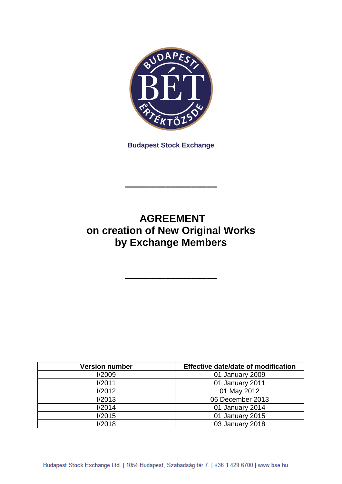

**Budapest Stock Exchange**

# **AGREEMENT on creation of New Original Works by Exchange Members**

**––––––––––––––––––**

**––––––––––––––––––**

| <b>Version number</b> | Effective date/date of modification |
|-----------------------|-------------------------------------|
| I/2009                | 01 January 2009                     |
| 1/2011                | 01 January 2011                     |
| I/2012                | 01 May 2012                         |
| 1/2013                | 06 December 2013                    |
| 1/2014                | 01 January 2014                     |
| I/2015                | 01 January 2015                     |
| 1/2018                | 03 January 2018                     |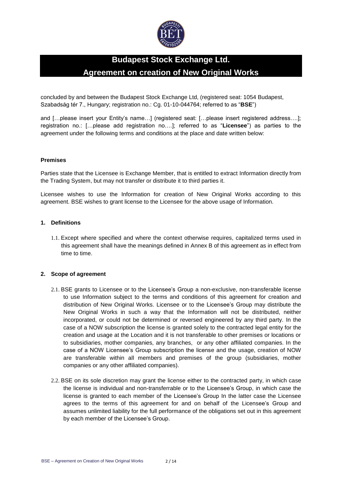

# **Budapest Stock Exchange Ltd. Agreement on creation of New Original Works**

concluded by and between the Budapest Stock Exchange Ltd, (registered seat: 1054 Budapest, Szabadság tér 7., Hungary; registration no.: Cg. 01-10-044764; referred to as "**BSE**")

and […please insert your Entity's name…] (registered seat: […please insert registered address….]; registration no.: […please add registration no….]; referred to as "**Licensee**") as parties to the agreement under the following terms and conditions at the place and date written below:

#### **Premises**

Parties state that the Licensee is Exchange Member, that is entitled to extract Information directly from the Trading System, but may not transfer or distribute it to third parties it.

Licensee wishes to use the Information for creation of New Original Works according to this agreement. BSE wishes to grant license to the Licensee for the above usage of Information.

### **1. Definitions**

1.1. Except where specified and where the context otherwise requires, capitalized terms used in this agreement shall have the meanings defined in Annex B of this agreement as in effect from time to time.

#### **2. Scope of agreement**

- 2.1. BSE grants to Licensee or to the Licensee's Group a non-exclusive, non-transferable license to use Information subject to the terms and conditions of this agreement for creation and distribution of New Original Works. Licensee or to the Licensee's Group may distribute the New Original Works in such a way that the Information will not be distributed, neither incorporated, or could not be determined or reversed engineered by any third party. In the case of a NOW subscription the license is granted solely to the contracted legal entity for the creation and usage at the Location and it is not transferable to other premises or locations or to subsidiaries, mother companies, any branches, or any other affiliated companies. In the case of a NOW Licensee's Group subscription the license and the usage, creation of NOW are transferable within all members and premises of the group (subsidiaries, mother companies or any other affiliated companies).
- 2.2. BSE on its sole discretion may grant the license either to the contracted party, in which case the license is individual and non-transferrable or to the Licensee's Group, in which case the license is granted to each member of the Licensee's Group In the latter case the Licensee agrees to the terms of this agreement for and on behalf of the Licensee's Group and assumes unlimited liability for the full performance of the obligations set out in this agreement by each member of the Licensee's Group.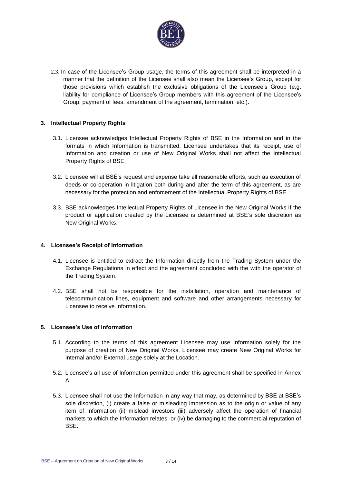

2.3. In case of the Licensee's Group usage, the terms of this agreement shall be interpreted in a manner that the definition of the Licensee shall also mean the Licensee's Group, except for those provisions which establish the exclusive obligations of the Licensee's Group (e.g. liability for compliance of Licensee's Group members with this agreement of the Licensee's Group, payment of fees, amendment of the agreement, termination, etc.).

### **3. Intellectual Property Rights**

- 3.1. Licensee acknowledges Intellectual Property Rights of BSE in the Information and in the formats in which Information is transmitted. Licensee undertakes that its receipt, use of Information and creation or use of New Original Works shall not affect the Intellectual Property Rights of BSE.
- 3.2. Licensee will at BSE's request and expense take all reasonable efforts, such as execution of deeds or co-operation in litigation both during and after the term of this agreement, as are necessary for the protection and enforcement of the Intellectual Property Rights of BSE.
- 3.3. BSE acknowledges Intellectual Property Rights of Licensee in the New Original Works if the product or application created by the Licensee is determined at BSE's sole discretion as New Original Works.

### **4. Licensee's Receipt of Information**

- 4.1. Licensee is entitled to extract the Information directly from the Trading System under the Exchange Regulations in effect and the agreement concluded with the with the operator of the Trading System.
- 4.2. BSE shall not be responsible for the installation, operation and maintenance of telecommunication lines, equipment and software and other arrangements necessary for Licensee to receive Information.

#### **5. Licensee's Use of Information**

- 5.1. According to the terms of this agreement Licensee may use Information solely for the purpose of creation of New Original Works. Licensee may create New Original Works for Internal and/or External usage solely at the Location.
- 5.2. Licensee's all use of Information permitted under this agreement shall be specified in Annex A.
- 5.3. Licensee shall not use the Information in any way that may, as determined by BSE at BSE's sole discretion, (i) create a false or misleading impression as to the origin or value of any item of Information (ii) mislead investors (iii) adversely affect the operation of financial markets to which the Information relates, or (iv) be damaging to the commercial reputation of BSE.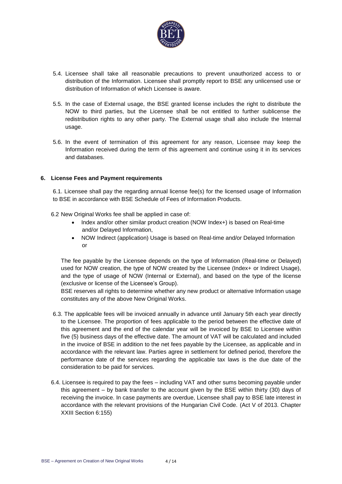

- 5.4. Licensee shall take all reasonable precautions to prevent unauthorized access to or distribution of the Information. Licensee shall promptly report to BSE any unlicensed use or distribution of Information of which Licensee is aware.
- 5.5. In the case of External usage, the BSE granted license includes the right to distribute the NOW to third parties, but the Licensee shall be not entitled to further sublicense the redistribution rights to any other party. The External usage shall also include the Internal usage.
- 5.6. In the event of termination of this agreement for any reason, Licensee may keep the Information received during the term of this agreement and continue using it in its services and databases.

### **6. License Fees and Payment requirements**

6.1. Licensee shall pay the regarding annual license fee(s) for the licensed usage of Information to BSE in accordance with BSE Schedule of Fees of Information Products.

- 6.2 New Original Works fee shall be applied in case of:
	- Index and/or other similar product creation (NOW Index+) is based on Real-time and/or Delayed Information,
	- NOW Indirect (application) Usage is based on Real-time and/or Delayed Information or

The fee payable by the Licensee depends on the type of Information (Real-time or Delayed) used for NOW creation, the type of NOW created by the Licensee (Index+ or Indirect Usage), and the type of usage of NOW (Internal or External), and based on the type of the license (exclusive or license of the Licensee's Group).

BSE reserves all rights to determine whether any new product or alternative Information usage constitutes any of the above New Original Works.

- 6.3. The applicable fees will be invoiced annually in advance until January 5th each year directly to the Licensee. The proportion of fees applicable to the period between the effective date of this agreement and the end of the calendar year will be invoiced by BSE to Licensee within five (5) business days of the effective date. The amount of VAT will be calculated and included in the invoice of BSE in addition to the net fees payable by the Licensee, as applicable and in accordance with the relevant law. Parties agree in settlement for defined period, therefore the performance date of the services regarding the applicable tax laws is the due date of the consideration to be paid for services.
- 6.4. Licensee is required to pay the fees including VAT and other sums becoming payable under this agreement – by bank transfer to the account given by the BSE within thirty (30) days of receiving the invoice. In case payments are overdue, Licensee shall pay to BSE late interest in accordance with the relevant provisions of the Hungarian Civil Code. (Act V of 2013. Chapter XXIII Section 6:155)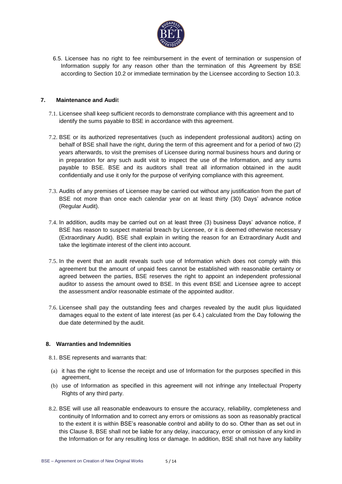

6.5. Licensee has no right to fee reimbursement in the event of termination or suspension of Information supply for any reason other than the termination of this Agreement by BSE according to Section 10.2 or immediate termination by the Licensee according to Section 10.3.

### **7. Maintenance and Audi**t

- 7.1. Licensee shall keep sufficient records to demonstrate compliance with this agreement and to identify the sums payable to BSE in accordance with this agreement.
- 7.2. BSE or its authorized representatives (such as independent professional auditors) acting on behalf of BSE shall have the right, during the term of this agreement and for a period of two (2) years afterwards, to visit the premises of Licensee during normal business hours and during or in preparation for any such audit visit to inspect the use of the Information, and any sums payable to BSE. BSE and its auditors shall treat all information obtained in the audit confidentially and use it only for the purpose of verifying compliance with this agreement.
- 7.3. Audits of any premises of Licensee may be carried out without any justification from the part of BSE not more than once each calendar year on at least thirty (30) Days' advance notice (Regular Audit).
- 7.4. In addition, audits may be carried out on at least three (3) business Days' advance notice, if BSE has reason to suspect material breach by Licensee, or it is deemed otherwise necessary (Extraordinary Audit). BSE shall explain in writing the reason for an Extraordinary Audit and take the legitimate interest of the client into account.
- 7.5. In the event that an audit reveals such use of Information which does not comply with this agreement but the amount of unpaid fees cannot be established with reasonable certainty or agreed between the parties, BSE reserves the right to appoint an independent professional auditor to assess the amount owed to BSE. In this event BSE and Licensee agree to accept the assessment and/or reasonable estimate of the appointed auditor.
- 7.6. Licensee shall pay the outstanding fees and charges revealed by the audit plus liquidated damages equal to the extent of late interest (as per 6.4.) calculated from the Day following the due date determined by the audit.

### **8. Warranties and Indemnities**

- 8.1. BSE represents and warrants that:
- (a) it has the right to license the receipt and use of Information for the purposes specified in this agreement,
- (b) use of Information as specified in this agreement will not infringe any Intellectual Property Rights of any third party.
- 8.2. BSE will use all reasonable endeavours to ensure the accuracy, reliability, completeness and continuity of Information and to correct any errors or omissions as soon as reasonably practical to the extent it is within BSE's reasonable control and ability to do so. Other than as set out in this Clause 8, BSE shall not be liable for any delay, inaccuracy, error or omission of any kind in the Information or for any resulting loss or damage. In addition, BSE shall not have any liability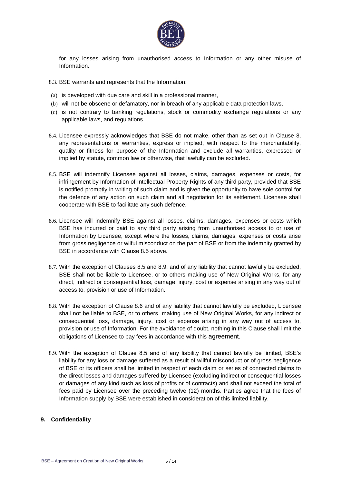

for any losses arising from unauthorised access to Information or any other misuse of Information.

- 8.3. BSE warrants and represents that the Information:
- (a) is developed with due care and skill in a professional manner,
- (b) will not be obscene or defamatory, nor in breach of any applicable data protection laws,
- (c) is not contrary to banking regulations, stock or commodity exchange regulations or any applicable laws, and regulations.
- 8.4. Licensee expressly acknowledges that BSE do not make, other than as set out in Clause 8, any representations or warranties, express or implied, with respect to the merchantability, quality or fitness for purpose of the Information and exclude all warranties, expressed or implied by statute, common law or otherwise, that lawfully can be excluded.
- 8.5. BSE will indemnify Licensee against all losses, claims, damages, expenses or costs, for infringement by Information of Intellectual Property Rights of any third party, provided that BSE is notified promptly in writing of such claim and is given the opportunity to have sole control for the defence of any action on such claim and all negotiation for its settlement. Licensee shall cooperate with BSE to facilitate any such defence.
- 8.6. Licensee will indemnify BSE against all losses, claims, damages, expenses or costs which BSE has incurred or paid to any third party arising from unauthorised access to or use of Information by Licensee, except where the losses, claims, damages, expenses or costs arise from gross negligence or wilful misconduct on the part of BSE or from the indemnity granted by BSE in accordance with Clause 8.5 above.
- 8.7. With the exception of Clauses 8.5 and 8.9, and of any liability that cannot lawfully be excluded, BSE shall not be liable to Licensee, or to others making use of New Original Works, for any direct, indirect or consequential loss, damage, injury, cost or expense arising in any way out of access to, provision or use of Information.
- 8.8. With the exception of Clause 8.6 and of any liability that cannot lawfully be excluded, Licensee shall not be liable to BSE, or to others making use of New Original Works, for any indirect or consequential loss, damage, injury, cost or expense arising in any way out of access to, provision or use of Information. For the avoidance of doubt, nothing in this Clause shall limit the obligations of Licensee to pay fees in accordance with this agreement.
- 8.9. With the exception of Clause 8.5 and of any liability that cannot lawfully be limited, BSE's liability for any loss or damage suffered as a result of willful misconduct or of gross negligence of BSE or its officers shall be limited in respect of each claim or series of connected claims to the direct losses and damages suffered by Licensee (excluding indirect or consequential losses or damages of any kind such as loss of profits or of contracts) and shall not exceed the total of fees paid by Licensee over the preceding twelve (12) months. Parties agree that the fees of Information supply by BSE were established in consideration of this limited liability.

### **9. Confidentiality**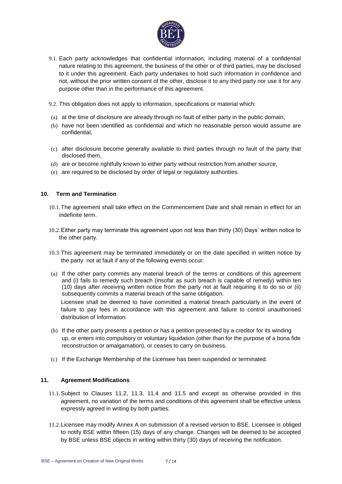

- 9.1. Each party acknowledges that confidential information, including material of a confidential nature relating to this agreement, the business of the other or of third parties, may be disclosed to it under this agreement. Each party undertakes to hold such information in confidence and not, without the prior written consent of the other, disclose it to any third party nor use it for any purpose other than in the performance of this agreement.
- 9.2. This obligation does not apply to information, specifications or material which:
- (a) at the time of disclosure are already through no fault of either party in the public domain,
- (b) have not been identified as confidential and which no reasonable person would assume are confidential,
- (c) after disclosure become generally available to third parties through no fault of the party that disclosed them,
- (d) are or become rightfully known to either party without restriction from another source,
- (e) are required to be disclosed by order of legal or regulatory authorities.

#### **10. Term and Termination**

- 10.1.The agreement shall take effect on the Commencement Date and shall remain in effect for an indefinite term.
- 10.2.Either party may terminate this agreement upon not less than thirty (30) Days' written notice to the other party.
- 10.3.This agreement may be terminated immediately or on the date specified in written notice by the party not at fault if any of the following events occur:
- (a) If the other party commits any material breach of the terms or conditions of this agreement and (i) fails to remedy such breach (insofar as such breach is capable of remedy) within ten (10) days after receiving written notice from the party not at fault requiring it to do so or (ii) subsequently commits a material breach of the same obligation. Licensee shall be deemed to have committed a material breach particularly in the event of failure to pay fees in accordance with this agreement and failure to control unauthorised distribution of Information.
- (b) If the other party presents a petition or has a petition presented by a creditor for its winding up, or enters into compulsory or voluntary liquidation (other than for the purpose of a bona fide reconstruction or amalgamation), or ceases to carry on business.
- (c) If the Exchange Membership of the Licensee has been suspended or terminated.

#### **11. Agreement Modifications**

- 11.1.Subject to Clauses 11.2, 11.3, 11.4 and 11.5 and except as otherwise provided in this agreement, no variation of the terms and conditions of this agreement shall be effective unless expressly agreed in writing by both parties.
- 11.2.Licensee may modify Annex A on submission of a revised version to BSE. Licensee is obliged to notify BSE within fifteen (15) days of any change. Changes will be deemed to be accepted by BSE unless BSE objects in writing within thirty (30) days of receiving the notification.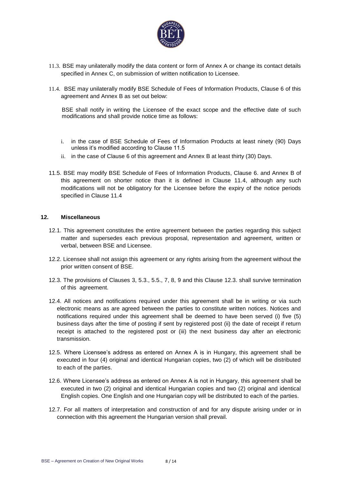

- 11.3. BSE may unilaterally modify the data content or form of Annex A or change its contact details specified in Annex C, on submission of written notification to Licensee.
- 11.4. BSE may unilaterally modify BSE Schedule of Fees of Information Products, Clause 6 of this agreement and Annex B as set out below:

BSE shall notify in writing the Licensee of the exact scope and the effective date of such modifications and shall provide notice time as follows:

- i. in the case of BSE Schedule of Fees of Information Products at least ninety (90) Days unless it's modified according to Clause 11.5
- ii. in the case of Clause 6 of this agreement and Annex B at least thirty (30) Days.
- 11.5. BSE may modify BSE Schedule of Fees of Information Products, Clause 6. and Annex B of this agreement on shorter notice than it is defined in Clause 11.4, although any such modifications will not be obligatory for the Licensee before the expiry of the notice periods specified in Clause 11.4

#### **12. Miscellaneous**

- 12.1. This agreement constitutes the entire agreement between the parties regarding this subject matter and supersedes each previous proposal, representation and agreement, written or verbal, between BSE and Licensee.
- 12.2. Licensee shall not assign this agreement or any rights arising from the agreement without the prior written consent of BSE.
- 12.3. The provisions of Clauses 3, 5.3., 5.5., 7, 8, 9 and this Clause 12.3. shall survive termination of this agreement.
- 12.4. All notices and notifications required under this agreement shall be in writing or via such electronic means as are agreed between the parties to constitute written notices. Notices and notifications required under this agreement shall be deemed to have been served (i) five (5) business days after the time of posting if sent by registered post (ii) the date of receipt if return receipt is attached to the registered post or (iii) the next business day after an electronic transmission.
- 12.5. Where Licensee's address as entered on Annex A is in Hungary, this agreement shall be executed in four (4) original and identical Hungarian copies, two (2) of which will be distributed to each of the parties.
- 12.6. Where Licensee's address as entered on Annex A is not in Hungary, this agreement shall be executed in two (2) original and identical Hungarian copies and two (2) original and identical English copies. One English and one Hungarian copy will be distributed to each of the parties.
- 12.7. For all matters of interpretation and construction of and for any dispute arising under or in connection with this agreement the Hungarian version shall prevail.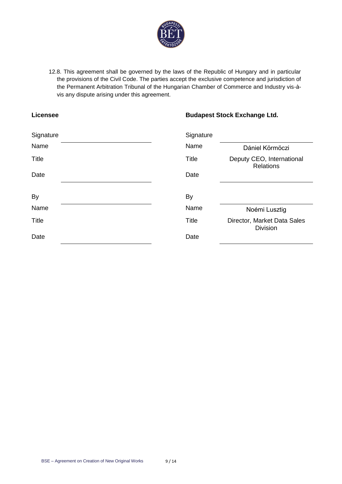

12.8. This agreement shall be governed by the laws of the Republic of Hungary and in particular the provisions of the Civil Code. The parties accept the exclusive competence and jurisdiction of the Permanent Arbitration Tribunal of the Hungarian Chamber of Commerce and Industry vis-àvis any dispute arising under this agreement.

## **Licensee Budapest Stock Exchange Ltd.**

| Signature    | Signature    |                                                |
|--------------|--------------|------------------------------------------------|
| Name         | Name         | Dániel Körmöczi                                |
| <b>Title</b> | Title        | Deputy CEO, International<br><b>Relations</b>  |
| Date         | Date         |                                                |
|              |              |                                                |
| <b>By</b>    | By           |                                                |
| Name         | Name         | Noémi Lusztig                                  |
| <b>Title</b> | <b>Title</b> | Director, Market Data Sales<br><b>Division</b> |
| Date         | Date         |                                                |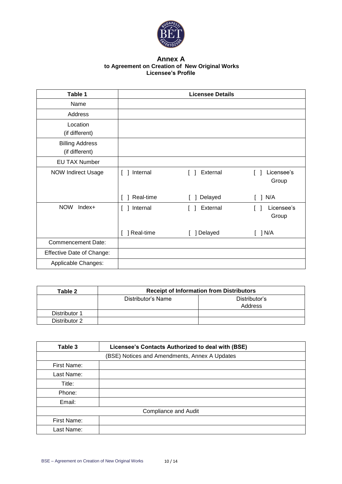

#### **Annex A to Agreement on Creation of New Original Works Licensee's Profile**

| Table 1                                  |                         | <b>Licensee Details</b> |                     |
|------------------------------------------|-------------------------|-------------------------|---------------------|
| Name                                     |                         |                         |                     |
| Address                                  |                         |                         |                     |
| Location<br>(if different)               |                         |                         |                     |
| <b>Billing Address</b><br>(if different) |                         |                         |                     |
| <b>EU TAX Number</b>                     |                         |                         |                     |
| <b>NOW Indirect Usage</b>                | Internal<br>L           | External                | Licensee's<br>Group |
|                                          | Real-time               | Delayed                 | N/A<br>1            |
| <b>NOW</b><br>Index+                     | Internal<br>$\Box$<br>L | External                | Licensee's<br>Group |
|                                          | Real-time               | ] Delayed               | ] N/A               |
| <b>Commencement Date:</b>                |                         |                         |                     |
| <b>Effective Date of Change:</b>         |                         |                         |                     |
| Applicable Changes:                      |                         |                         |                     |

| Table 2       | <b>Receipt of Information from Distributors</b> |               |
|---------------|-------------------------------------------------|---------------|
|               | Distributor's Name                              | Distributor's |
|               |                                                 | Address       |
| Distributor 1 |                                                 |               |
| Distributor 2 |                                                 |               |

| Table 3     | Licensee's Contacts Authorized to deal with (BSE) |
|-------------|---------------------------------------------------|
|             | (BSE) Notices and Amendments, Annex A Updates     |
| First Name: |                                                   |
| Last Name:  |                                                   |
| Title:      |                                                   |
| Phone:      |                                                   |
| Email:      |                                                   |
|             | <b>Compliance and Audit</b>                       |
| First Name: |                                                   |
| Last Name:  |                                                   |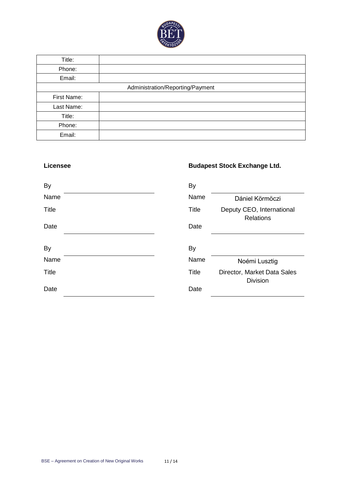

| Title:      |                                  |
|-------------|----------------------------------|
| Phone:      |                                  |
| Email:      |                                  |
|             | Administration/Reporting/Payment |
| First Name: |                                  |
| Last Name:  |                                  |
| Title:      |                                  |
| Phone:      |                                  |
| Email:      |                                  |

# **Licensee Budapest Stock Exchange Ltd.**

| By           | <b>By</b>    |                                                |
|--------------|--------------|------------------------------------------------|
| Name         | Name         | Dániel Körmöczi                                |
| <b>Title</b> | <b>Title</b> | Deputy CEO, International<br><b>Relations</b>  |
| Date         | Date         |                                                |
|              |              |                                                |
| <b>By</b>    | By           |                                                |
| Name         | Name         | Noémi Lusztig                                  |
| <b>Title</b> | <b>Title</b> | Director, Market Data Sales<br><b>Division</b> |
| Date         | Date         |                                                |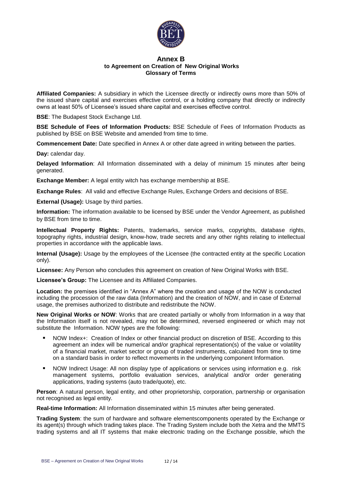

#### **Annex B to Agreement on Creation of New Original Works Glossary of Terms**

**Affiliated Companies:** A subsidiary in which the Licensee directly or indirectly owns more than 50% of the issued share capital and exercises effective control, or a holding company that directly or indirectly owns at least 50% of Licensee's issued share capital and exercises effective control.

**BSE**: The Budapest Stock Exchange Ltd.

**BSE Schedule of Fees of Information Products:** BSE Schedule of Fees of Information Products as published by BSE on BSE Website and amended from time to time.

**Commencement Date:** Date specified in Annex A or other date agreed in writing between the parties.

**Day:** calendar day.

**Delayed Information**: All Information disseminated with a delay of minimum 15 minutes after being generated.

**Exchange Member:** A legal entity witch has exchange membership at BSE.

**Exchange Rules**: All valid and effective Exchange Rules, Exchange Orders and decisions of BSE.

**External (Usage):** Usage by third parties.

**Information:** The information available to be licensed by BSE under the Vendor Agreement, as published by BSE from time to time.

**Intellectual Property Rights:** Patents, trademarks, service marks, copyrights, database rights, topography rights, industrial design, know-how, trade secrets and any other rights relating to intellectual properties in accordance with the applicable laws.

**Internal (Usage):** Usage by the employees of the Licensee (the contracted entity at the specific Location only).

**Licensee:** Any Person who concludes this agreement on creation of New Original Works with BSE.

**Licensee's Group:** The Licensee and its Affiliated Companies.

**Location:** the premises identified in "Annex A" where the creation and usage of the NOW is conducted including the procession of the raw data (Information) and the creation of NOW, and in case of External usage, the premises authorized to distribute and redistribute the NOW.

**New Original Works or NOW**: Works that are created partially or wholly from Information in a way that the Information itself is not revealed, may not be determined, reversed engineered or which may not substitute the Information. NOW types are the following:

- NOW Index+: Creation of Index or other financial product on discretion of BSE. According to this agreement an index will be numerical and/or graphical representation(s) of the value or volatility of a financial market, market sector or group of traded instruments, calculated from time to time on a standard basis in order to reflect movements in the underlying component Information.
- NOW Indirect Usage: All non display type of applications or services using information e.g. risk management systems, portfolio evaluation services, analytical and/or order generating applications, trading systems (auto trade/quote), etc.

**Person**: A natural person, legal entity, and other proprietorship, corporation, partnership or organisation not recognised as legal entity.

**Real-time Information:** All Information disseminated within 15 minutes after being generated.

**Trading System**: the sum of hardware and software elementscomponents operated by the Exchange or its agent(s) through which trading takes place. The Trading System include both the Xetra and the MMTS trading systems and all IT systems that make electronic trading on the Exchange possible, which the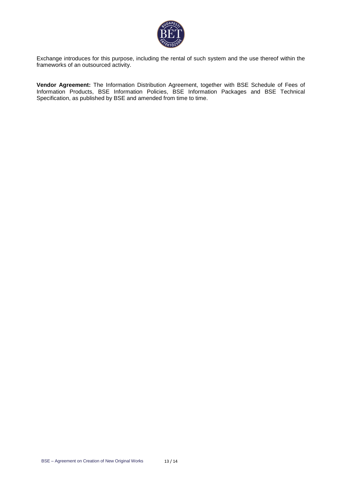

Exchange introduces for this purpose, including the rental of such system and the use thereof within the frameworks of an outsourced activity.

**Vendor Agreement:** The Information Distribution Agreement, together with BSE Schedule of Fees of Information Products, BSE Information Policies, BSE Information Packages and BSE Technical Specification, as published by BSE and amended from time to time.